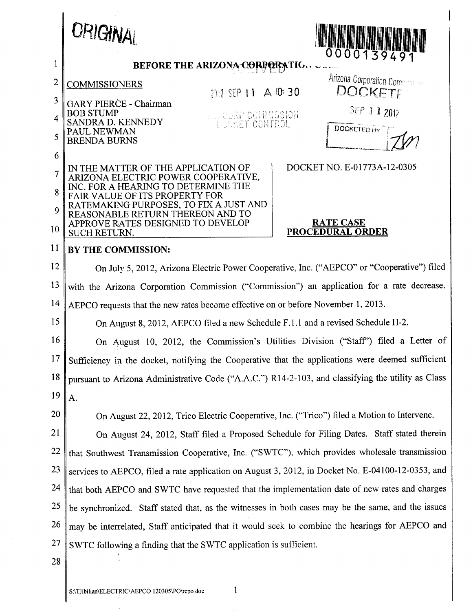<span id="page-0-0"></span>

|                         | ORIGINAL                                                                                                      |
|-------------------------|---------------------------------------------------------------------------------------------------------------|
| $\mathbf{1}$            | 00001394<br><b>BEFORE THE ARIZONA CORPORATIO</b>                                                              |
| $\mathbf{2}$            | Arizona Corporation Compression<br><b>COMMISSIONERS</b>                                                       |
| 3                       | DOCKETE<br>7017 SEP 11 A IC 30<br><b>GARY PIERCE - Chairman</b>                                               |
| $\overline{\mathbf{4}}$ | SEP 11 2012<br><b>BOB STUMP</b><br>WILL CORP COMMISSION<br><b>SANDRA D. KENNEDY</b><br><b>INCOKET CONTROL</b> |
| 5                       | <b>DOCKETED BY</b><br>PAUL NEWMAN<br><b>BRENDA BURNS</b>                                                      |
| 6                       |                                                                                                               |
| $\overline{7}$          | DOCKET NO. E-01773A-12-0305<br>IN THE MATTER OF THE APPLICATION OF<br>ARIZONA ELECTRIC POWER COOPERATIVE,     |
| 8                       | INC. FOR A HEARING TO DETERMINE THE<br><b>FAIR VALUE OF ITS PROPERTY FOR</b>                                  |
| 9                       | RATEMAKING PURPOSES, TO FIX A JUST AND<br>REASONABLE RETURN THEREON AND TO                                    |
| 10                      | APPROVE RATES DESIGNED TO DEVELOP<br><b>RATE CASE</b><br>PROCEDURAL ORDER<br><b>SUCH RETURN.</b>              |
| 11                      | BY THE COMMISSION:                                                                                            |
| 12                      | On July 5, 2012, Arizona Electric Power Cooperative, Inc. ("AEPCO" or "Cooperative") filed                    |
| 13                      | with the Arizona Corporation Commission ("Commission") an application for a rate decrease.                    |
| 14                      | AEPCO requests that the new rates become effective on or before November 1, 2013.                             |
| 15                      | On August 8, 2012, AEPCO filed a new Schedule F.1.1 and a revised Schedule H-2.                               |
| 16                      | On August 10, 2012, the Commission's Utilities Division ("Staff") filed a Letter of                           |
| 17                      | Sufficiency in the docket, notifying the Cooperative that the applications were deemed sufficient             |
| 18                      | pursuant to Arizona Administrative Code ("A.A.C.") R14-2-103, and classifying the utility as Class            |
| 19                      | A.                                                                                                            |
| 20                      | On August 22, 2012, Trico Electric Cooperative, Inc. ("Trico") filed a Motion to Intervene.                   |
| 21                      | On August 24, 2012, Staff filed a Proposed Schedule for Filing Dates. Staff stated therein                    |
| 22                      | that Southwest Transmission Cooperative, Inc. ("SWTC"), which provides wholesale transmission                 |
| 23                      | services to AEPCO, filed a rate application on August 3, 2012, in Docket No. E-04100-12-0353, and             |
| 24                      | that both AEPCO and SWTC have requested that the implementation date of new rates and charges                 |
| 25                      | be synchronized. Staff stated that, as the witnesses in both cases may be the same, and the issues            |
| 26                      | may be interrelated, Staff anticipated that it would seek to combine the hearings for AEPCO and               |
| 27                      | SWTC following a finding that the SWTC application is sufficient.                                             |
| 28                      |                                                                                                               |
|                         | 1<br>S:\TJibilian\ELECTRJC\AEPCO 120305\PO\rcpo.doc                                                           |

 $\sim$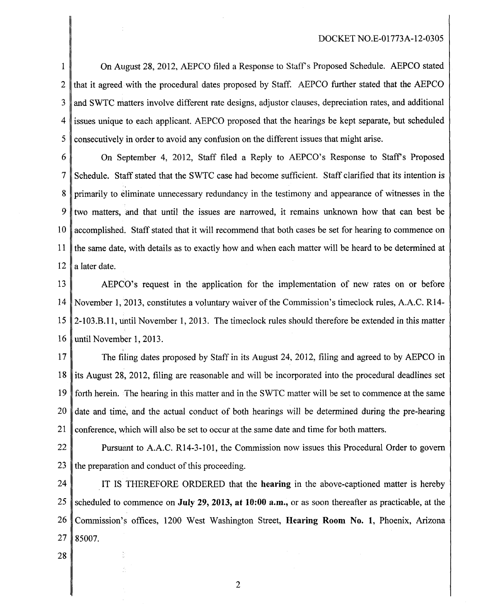## DOCKET N0.E-O1773A-12-0305

<span id="page-1-0"></span>1 2 3 4 5 On August 28, 2012, AEPCO filed a Response to Stiffs Proposed Schedule. AEPCO stated that it agreed with the procedural dates proposed by Staff. AEPCO further stated that the AEPCO and **S** WTC matters involve different rate designs, adjustor clauses, depreciation rates, and additional issues unique to each applicant. AEPCO proposed that the hearings be kept separate, but scheduled consecutively in order to avoid any confusion on the different issues that might arise.

6 7 8 9 10 11 12 On September 4, 2012, Staff filed a Reply to AEPCO's Response to Staff's Proposed Schedule. Staff stated that the SWTC case had become sufficient. Staff clarified that its intention is primarily to eliminate unnecessary redundancy in the testimony and appearance of witnesses in the two matters, and that until the issues are narrowed, it remains unknown how that can best be accomplished. Staff stated that it will recommend that both cases be set for hearing to commence on the same date, with details as to exactly how and when each matter will be heard to be determined at a later date.

13 14 15 16 AEPCO's request in the application for the implementation of new rates on or before November 1, 2013, constitutes a voluntary waiver of the Commission's timeclock rules, A.A.C. R14- 2-103.B. 11, until November 1, 2013. The timeclock rules should therefore be extended in this matter until November 1, 2013.

17 18 19 20 21 The filing dates proposed by Staff in its August 24, 2012, filing and agreed to by AEPCO in its August 28, 2012, filing are reasonable and will be incorporated into the procedural deadlines set forth herein. The hearing in this matter and in the SWTC matter will be set to commence at the same date and time, and the actual conduct of both hearings will be determined during the pre-hearing conference, which will also be set to occur at the same date and time for both matters.

22 23 Pursumt to A.A.C. R14-3-101, the Commission now issues this Procedural Order to govern the preparation and conduct of this proceeding.

24 25 26 27 IT IS THEREFORE ORDERED that the **hearing** in the above-captioned matter is hereby scheduled to commence on **July 29,2013, at 1O:OO a.m.,** or as soon thereafter as practicable, at the Commission's offices, 1200 West Washington Street, **Nearing Room No. 1,** Phoenix, Arizona 85007

28

2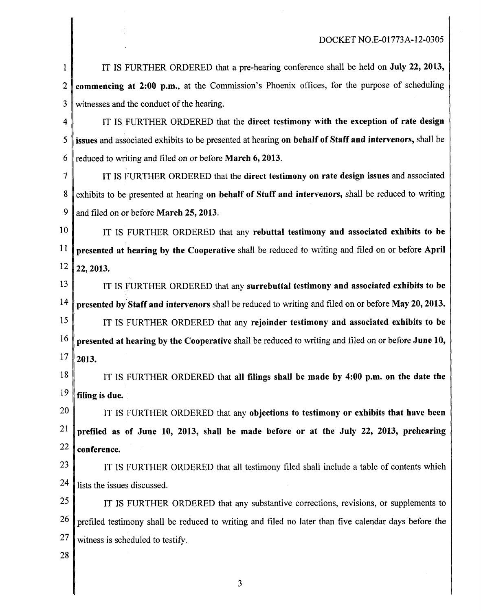<span id="page-2-0"></span>

| $\mathbf{1}$   | IT IS FURTHER ORDERED that a pre-hearing conference shall be held on <b>July 22, 2013</b> ,            |
|----------------|--------------------------------------------------------------------------------------------------------|
| $\overline{2}$ | commencing at 2:00 p.m., at the Commission's Phoenix offices, for the purpose of scheduling            |
| 3              | witnesses and the conduct of the hearing.                                                              |
| 4              | IT IS FURTHER ORDERED that the direct testimony with the exception of rate design                      |
| 5              | issues and associated exhibits to be presented at hearing on behalf of Staff and intervenors, shall be |
| 6              | reduced to writing and filed on or before <b>March 6, 2013</b> .                                       |
| 7              | IT IS FURTHER ORDERED that the direct testimony on rate design issues and associated                   |
| 8              | exhibits to be presented at hearing on behalf of Staff and intervenors, shall be reduced to writing    |
| 9              | and filed on or before March 25, 2013.                                                                 |
| 10             | IT IS FURTHER ORDERED that any rebuttal testimony and associated exhibits to be                        |
| 11             | presented at hearing by the Cooperative shall be reduced to writing and filed on or before April       |
| 12             | 22, 2013.                                                                                              |
| 13             | IT IS FURTHER ORDERED that any surrebuttal testimony and associated exhibits to be                     |
| 14             | presented by Staff and intervenors shall be reduced to writing and filed on or before May 20, 2013.    |
| 15             | IT IS FURTHER ORDERED that any rejoinder testimony and associated exhibits to be                       |
| 16             | presented at hearing by the Cooperative shall be reduced to writing and filed on or before June 10,    |
| 17             | 2013.                                                                                                  |
| 18             | IT IS FURTHER ORDERED that all filings shall be made by 4:00 p.m. on the date the                      |
| 19             | filing is due.                                                                                         |
| 20             | IT IS FURTHER ORDERED that any objections to testimony or exhibits that have been                      |
| 21             | prefiled as of June 10, 2013, shall be made before or at the July 22, 2013, prehearing                 |
| 22             | conference.                                                                                            |
| 23             | IT IS FURTHER ORDERED that all testimony filed shall include a table of contents which                 |
| 24             | lists the issues discussed.                                                                            |
| 25             | IT IS FURTHER ORDERED that any substantive corrections, revisions, or supplements to                   |
| 26             | prefiled testimony shall be reduced to writing and filed no later than five calendar days before the   |
| 27             | witness is scheduled to testify.                                                                       |
| 28             |                                                                                                        |

**3**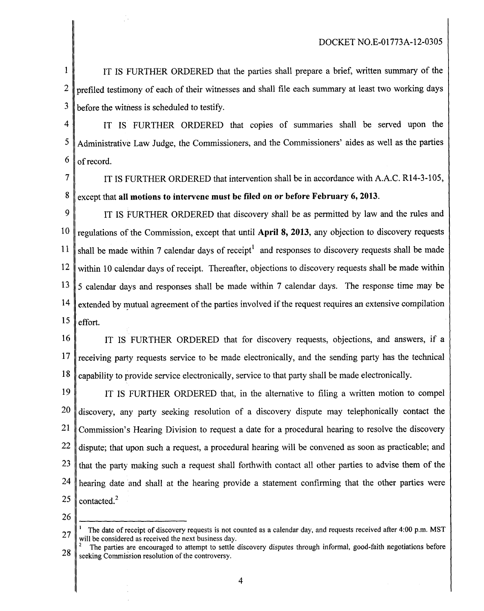<span id="page-3-0"></span>1 2 3 IT IS FURTHER ORDERED that the parties shall prepare a brief, written summary of the prefiled testimony of each of their witnesses and shall file each summary at least two working days before the witness is scheduled to testify.

4 5 6 IT IS FURTHER ORDERED that copies of summaries shall be served upon the 4dministrative Law Judge, the Commissioners, and the Commissioners' aides as well as the parties of record.

7 **8**  IT **IS** FURTHER ORDERED that intervention shall be in accordance with A.A.C. R14-3-105, except that all motions to intervene must be filed on or before February 6, 2013.

9 10 11 12 13 14 15 IT IS FURTHER ORDERED that discovery shall be as permitted by law and the rules and regulations of the Commission, except that until April 8, 2013, any objection to discovery requests shall be made within **7** calendar days of receipt' and responses to discovery requests shall be made within 10 calendar days of receipt. Thereafier, objections to discovery requests shall be made within **<sup>5</sup>**calendar days and responses shall be made within 7 calendar days. The response time may be extended by mutual agreement of the parties involved if the request requires an extensive compilation effort.

16 17 18 IT IS FURTHER ORDERED that for discovery requests, objections, and answers, if **a**  receiving party requests service to be made electronically, and the sending party has the technical capability to provide service electronically, service to that party shall be made electronically.

19 20 21 22 23 24 25 IT IS FURTHER ORDERED that, in the alternative to filing a written motion to compel discovery, any party seeking resolution of a discovery dispute may telephonically contact the Commission's Hearing Division to request a date for a procedural hearing to resolve the discovery dispute; that upon such a request, a procedural hearing will be convened as soon as practicable; and that the party making such a request shall forthwith contact all other parties to advise them of the hearing date and shall at the hearing provide a statement confirming that the other parties were contacted.<sup>2</sup>

26

<sup>27</sup>  The date of receipt of discovery requests is not counted as a calendar day, and requests received after **4:OO** p.m. MST **1**  will be considered as received the next business day.

<sup>28</sup>  The parties are encouraged to attempt to settle discovery disputes through informal, good-faith negotiations before seeking Commission resolution of the controversy.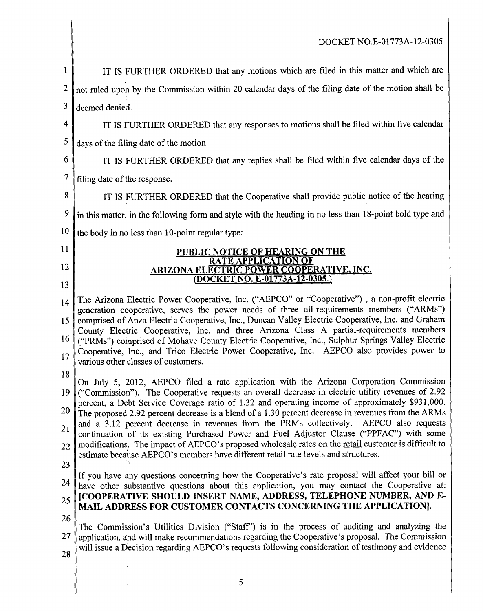<span id="page-4-0"></span>

| $\mathbf{1}$ | IT IS FURTHER ORDERED that any motions which are filed in this matter and which are                                                                                                                   |
|--------------|-------------------------------------------------------------------------------------------------------------------------------------------------------------------------------------------------------|
| 2            | not ruled upon by the Commission within 20 calendar days of the filing date of the motion shall be                                                                                                    |
| 3            | deemed denied.                                                                                                                                                                                        |
| 4            | IT IS FURTHER ORDERED that any responses to motions shall be filed within five calendar                                                                                                               |
| 5            | days of the filing date of the motion.                                                                                                                                                                |
| 6            | IT IS FURTHER ORDERED that any replies shall be filed within five calendar days of the                                                                                                                |
| $\tau$       | filing date of the response.                                                                                                                                                                          |
| 8            | IT IS FURTHER ORDERED that the Cooperative shall provide public notice of the hearing                                                                                                                 |
| 9            | in this matter, in the following form and style with the heading in no less than 18-point bold type and                                                                                               |
| 10           | the body in no less than 10-point regular type:                                                                                                                                                       |
| 11           | <b>PUBLIC NOTICE OF HEARING ON THE</b>                                                                                                                                                                |
| 12           | RATE APPLICATION OF<br><b>ARIZONA ELECTRIC POWER COOPERATIVE, INC.</b>                                                                                                                                |
| 13           | (DOCKET NO. E-01773A-12-0305.)                                                                                                                                                                        |
| 14           | The Arizona Electric Power Cooperative, Inc. ("AEPCO" or "Cooperative"), a non-profit electric<br>generation cooperative, serves the power needs of three all-requirements members ("ARMs")           |
| 15           | comprised of Anza Electric Cooperative, Inc., Duncan Valley Electric Cooperative, Inc. and Graham<br>County Electric Cooperative, Inc. and three Arizona Class A partial-requirements members         |
| 16           | ("PRMs") comprised of Mohave County Electric Cooperative, Inc., Sulphur Springs Valley Electric<br>Cooperative, Inc., and Trico Electric Power Cooperative, Inc. AEPCO also provides power to         |
| 17           | various other classes of customers.                                                                                                                                                                   |
| 18           | On July 5, 2012, AEPCO filed a rate application with the Arizona Corporation Commission                                                                                                               |
| 19 I         | ("Commission"). The Cooperative requests an overall decrease in electric utility revenues of 2.92<br>percent, a Debt Service Coverage ratio of 1.32 and operating income of approximately \$931,000.  |
| 20           | The proposed 2.92 percent decrease is a blend of a 1.30 percent decrease in revenues from the ARMs                                                                                                    |
| 21           | and a 3.12 percent decrease in revenues from the PRMs collectively. AEPCO also requests<br>continuation of its existing Purchased Power and Fuel Adjustor Clause ("PPFAC") with some                  |
| 22           | modifications. The impact of AEPCO's proposed wholesale rates on the retail customer is difficult to<br>estimate because AEPCO's members have different retail rate levels and structures.            |
| 23           | If you have any questions concerning how the Cooperative's rate proposal will affect your bill or                                                                                                     |
| 24           | have other substantive questions about this application, you may contact the Cooperative at:<br>[COOPERATIVE SHOULD INSERT NAME, ADDRESS, TELEPHONE NUMBER, AND E-                                    |
| 25           | MAIL ADDRESS FOR CUSTOMER CONTACTS CONCERNING THE APPLICATION].                                                                                                                                       |
| 26           | The Commission's Utilities Division ("Staff") is in the process of auditing and analyzing the                                                                                                         |
| 27           | application, and will make recommendations regarding the Cooperative's proposal. The Commission<br>will issue a Decision regarding AEPCO's requests following consideration of testimony and evidence |
| 28           |                                                                                                                                                                                                       |
|              |                                                                                                                                                                                                       |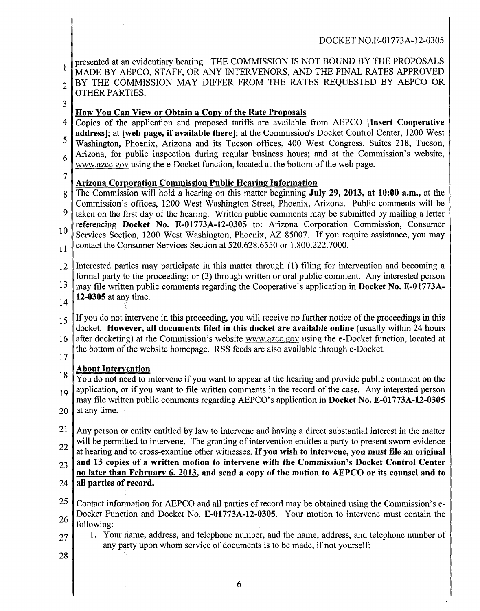<span id="page-5-0"></span>1 2 **3**  4 5 6 7 8 9 10 11 12 13 14 15 16 17 18 19 20 21 22 23 24 25 26 27 28 )resented at an evidentiary hearing. THE COMMISSION **IS** NOT BOUND BY THE PROPOSALS MADE BY AEPCO, STAFF, OR ANY INTERVENORS, AND THE FINAL RATES APPROVED 3Y THE COMMISSION MAY DIFFER FROM THE RATES REQUESTED BY AEPCO OR OTHER PARTIES. **How You Can View or Obtain a Copy of the Rate Proposals**  C'opies of the application and proposed tariffs are available from AEPCO **[Insert Cooperative address];** at **[web page, if available there];** at the Commission's Docket Control Center, 1200 West Washington, Phoenix, Arizona and its Tucson offices, 400 West Congress, Suites 218, Tucson, Arizona, for public inspection during regular business hours; and at the Commission's website, www.azcc.gov using the e-Docket function, located at the bottom of the web page. **Arizona Corporation Commission Public Hearing Information** The Commission will hold a hearing on this matter beginning **July 29, 2013, at 1O:OO a.m.,** at the Commission's offices, 1200 West Washington Street, Phoenix, Arizona. Public comments will be taken on the first day of the hearing. Written public comments may be submitted by mailing a letter referencing **Docket No. E-01773A-12-0305** to: Arizona Corporation Commission, Consumer Services Section, 1200 West Washington, Phoenix, AZ 85007. If you require assistance, you may sontact the Consumer Services Section at 520.628.6550 or 1.800.222.7000. Interested parties may participate in this matter through (1) filing for intervention and becoming a formal party to the proceeding; or **(2)** through written or oral public comment. Any interested person may file written public comments regarding the Cooperative's application in **Docket No. E-01773A-12-0305** at any time. If you do not intervene in this proceeding, you will receive no further notice of the proceedings in this docket. **However, all documents filed in this docket are available online** (usually within 24 hours after docketing) at the Commission's website www.azcc.gov using the e-Docket function, located at the bottom of the website homepage. RSS feeds are also available through e-Docket. **About Intervention**  You do not need to intervene if you want to appear at the hearing and provide public comment on the application, or if you want to file written comments in the record of the case. Any interested person may file written public comments regarding AEPCO's application in **Docket No. E-01773A-12-0305**  at any time. Any person or entity entitled by law to intervene and having a direct substantial interest in the matter will be permitted to intervene. The granting of intervention entitles a party to present sworn evidence at hearing and to cross-examine other witnesses. **If you wish to intervene, you must file an original and 13 copies of a written motion to intervene with the Commission's Docket Control Center no later than February 6,2013, and send a copy of the motion to AEPCO or its counsel and to all parties of record.**  Contact information for AEPCO and all parties of record may be obtained using the Commission's e-Docket Function and Docket No. **E-01773A-12-0305.** Your motion to intervene must contain the following: 1. Your name, address, and telephone number, and the name, address, and telephone number of any party upon whom service of documents is to be made, if not yourself;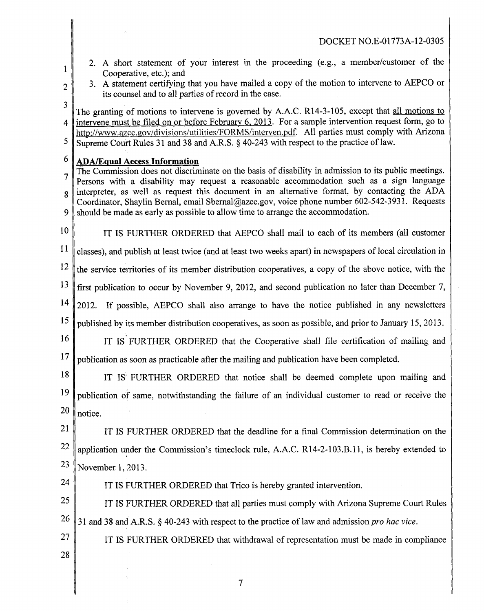- 2. A short statement of your interest in the proceeding (e.g., a member/customer of the Cooperative, etc.); and
- 2

<span id="page-6-0"></span>1

3. A statement certifying that you have mailed a copy of the motion to intervene to AEPCO or its counsel and to all parties of record in the case.

3 4 5 The granting of motions to intervene is governed by A.A.C. R14-3-105, except that all motions to intervene must be filed on or before February 6, 2013. For a sample intervention request form, go to http://www.azcc.gov/divisions/utilities/FORMS/interven.pdf. All parties must comply with Arizona 3upreme Court Rules 31 and 38 and A.R.S. **6** 40-243 with respect to the practice of law.

## 6 **QDA/Eaual Access Information**

**7**  8 9 The Commission does not discriminate on the basis of disability in admission to its public meetings. Persons with a disability may request a reasonable accommodation such as a sign language nterpreter, as well as request this document in an alternative format, by contacting the ADA Coordinator, Shaylin Bernal, email [Sbernal@azcc.gov,](mailto:Sbernal@azcc.gov) voice phone number 602-542-3931. Requests should be made as early as possible to allow time to arrange the accommodation.

10

IT IS FURTHER ORDERED that AEPCO shall mail to each of its members (all customer

11 :lasses), and publish at least twice (and at least two weeks apart) in newspapers of local circulation in

12 the service territories of its member distribution cooperatives, a copy of the above notice, with the

13 first publication to occur by November 9, 2012, and second publication no later than December **7,** 

14 2012. If possible, AEPCO shall also arrange to have the notice published in any newsletters

15 published by its member distribution cooperatives, as soon as possible, and prior to January 15,2013.

- 16 17 IT IS FURTHER ORDERED that the Cooperative shall file certification of mailing and publication as soon as practicable after the mailing and publication have been completed.
- 18

24

19 20 IT **IS** FURTHER ORDERED that notice shall be deemed complete upon mailing and publication of same, notwithstanding the failure of an individual customer to read or receive the notice.

21 22 23 IT IS FURTHER ORDERED that the deadline for a final Commission determination on the application under the Commission's timeclock rule, A.A.C. R14-2-103.B. 1 1, is hereby extended to November 1, 2013.

IT **IS** FURTHER ORDERED that Trico is hereby granted intervention.

25 26 IT **IS** FURTHER ORDERED that all parties must comply with Arizona Supreme Court Rules 31 and 38 and A.R.S.  $\frac{6}{3}$  40-243 with respect to the practice of law and admission *pro hac vice*.

**27**  28 IT IS FURTHER ORDERED that withdrawal of representation must be made in compliance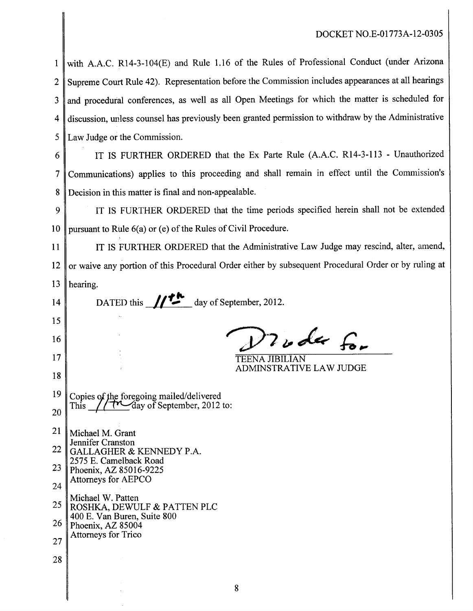<span id="page-7-0"></span>1 2 3 4 5 vith A.A.C. R14-3-104(E) and Rule 1.16 of the Rules of Professional Conduct (under Arizona Supreme Court Rule 42). Representation before the Commission includes appearances at all hearings nd procedural conferences, as well as all Open Meetings for which the matter is scheduled for liscussion, unless counsel has previously been granted permission to withdraw by the Administrative Law Judge or the Commission.

**6** 

7 **8**  IT IS FURTHER ORDERED that the Ex Parte Rule (A.A.C. R14-3-113 - Unauthorized 2ommunicaticins) applies to this proceeding and shall remain in effect until the Commission's Decision in this matter is final and non-appealable.

9 10 IT IS FURTHER ORDERED that the time periods specified herein shall not be extended pursuant to Rule 6(a) or (e) of the Rules of Civil Procedure.

11 12 13 IT IS FURTHER ORDERED that the Administrative Law Judge may rescind, alter, amend, )r waive any portion of this Procedural Order either by subsequent Procedural Order or by ruling at hearing.

14 15 16 17 18 19 20 21 22 23 24 25 26 27 28 DATED this  $\sqrt{2\pi}$  day of September, 2012. 2 s de for TEENA JIBILIAN ADMINSTRATIVE LAW JUDGE Copies of the foregoing mailed/delivered This // $\mathcal{M}$ day of September, 2012 to: Michael M. Grant Jennifer Cranston GALLAGHER & KENNEDY P.A. 2575 E. Camelback Road Phoenix, AZ 85016-9225 Attorneys for AEPCO Michael W. Patten ROSHKA, DEWULF & PATTEN PLC 400 E. Van Buren, Suite 800 Phoenix, AZ 85004 Attorneys for Trico **8**